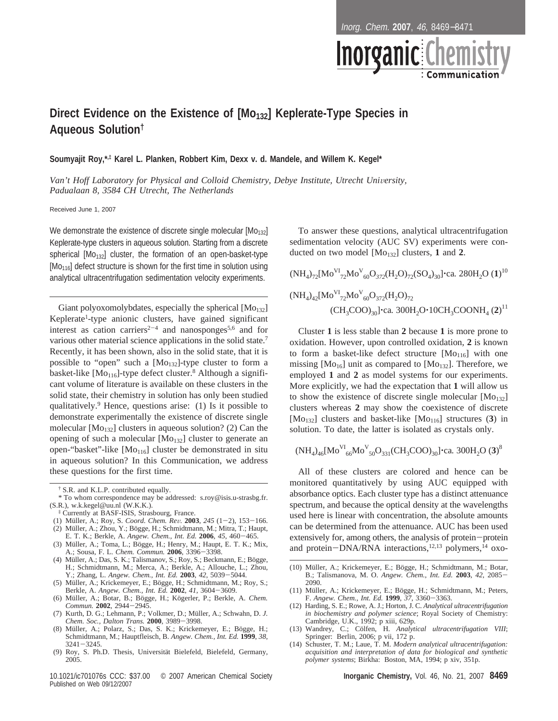Inorg. Chem. **2007**, 46, 8469−8471

# Direct Evidence on the Existence of [Mo<sub>132</sub>] Keplerate-Type Species in **Aqueous Solution†**

**Soumyajit Roy,\*,‡ Karel L. Planken, Robbert Kim, Dexx v. d. Mandele, and Willem K. Kegel\***

Van't Hoff Laboratory for Physical and Colloid Chemistry, Debye Institute, Utrecht University, *Padualaan 8, 3584 CH Utrecht, The Netherlands*

Received June 1, 2007

We demonstrate the existence of discrete single molecular  $[Mo<sub>132</sub>]$ Keplerate-type clusters in aqueous solution. Starting from a discrete spherical  $[Mo<sub>132</sub>]$  cluster, the formation of an open-basket-type [Mo<sub>116</sub>] defect structure is shown for the first time in solution using analytical ultracentrifugation sedimentation velocity experiments.

Giant polyoxomolybdates, especially the spherical  $[Mo<sub>132</sub>]$ Keplerate<sup>1</sup>-type anionic clusters, have gained significant interest as cation carriers<sup>2-4</sup> and nanosponges<sup>5,6</sup> and for various other material science applications in the solid state.<sup>7</sup> Recently, it has been shown, also in the solid state, that it is possible to "open" such a  $[Mo<sub>132</sub>]$ -type cluster to form a basket-like  $[Mo<sub>116</sub>]$ -type defect cluster.<sup>8</sup> Although a significant volume of literature is available on these clusters in the solid state, their chemistry in solution has only been studied qualitatively.9 Hence, questions arise: (1) Is it possible to demonstrate experimentally the existence of discrete single molecular  $[Mo<sub>132</sub>]$  clusters in aqueous solution? (2) Can the opening of such a molecular  $[Mo<sub>132</sub>]$  cluster to generate an open-"basket"-like [Mo<sub>116</sub>] cluster be demonstrated in situ in aqueous solution? In this Communication, we address these questions for the first time.

- (1) Mu¨ller, A.; Roy, S. *Coord. Chem. Re*V*.* **<sup>2003</sup>**, *<sup>245</sup>* (1-2), 153-166. (2) Müller, A.; Zhou, Y.; Bögge, H.; Schmidtmann, M.; Mitra, T.; Haupt,
- E. T. K.; Berkle, A. *Angew. Chem., Int. Ed.* **<sup>2006</sup>**, *<sup>45</sup>*, 460-465. (3) Müller, A.; Toma, L.; Bögge, H.; Henry, M.; Haupt, E. T. K.; Mix,
- A.; Sousa, F. L. *Chem. Commun.* **<sup>2006</sup>**, 3396-3398. (4) Müller, A.; Das, S. K.; Talismanov, S.; Roy, S.; Beckmann, E.; Bögge, H.; Schmidtmann, M.; Merca, A.; Berkle, A.; Allouche, L.; Zhou, Y.; Zhang, L. *Angew. Chem., Int. Ed.* **<sup>2003</sup>**, *<sup>42</sup>*, 5039-5044.
- (5) Müller, A.; Krickemeyer, E.; Bögge, H.; Schmidtmann, M.; Roy, S.; Berkle, A. *Angew. Chem., Int. Ed.* **<sup>2002</sup>**, *<sup>41</sup>*, 3604-3609.
- (6) Müller, A.; Botar, B.; Bögge, H.; Kögerler, P.; Berkle, A. *Chem. Commun.* **<sup>2002</sup>**, 2944-2945.
- (7) Kurth, D. G.; Lehmann, P.; Volkmer, D.; Müller, A.; Schwahn, D. *J. Chem. Soc., Dalton Trans.* **<sup>2000</sup>**, 3989-3998.
- (8) Müller, A.; Polarz, S.; Das, S. K.; Krickemeyer, E.; Bögge, H.; Schmidtmann, M.; Hauptfleisch, B. *Angew. Chem., Int. Ed.* **1999**, *38*,
- 3241-3245.<br>(9) Roy, S. Ph.D. Thesis, Universität Bielefeld, Bielefeld, Germany, 2005.

10.1021/ic701076s CCC: \$37.00 © 2007 American Chemical Society **Inorganic Chemistry,** Vol. 46, No. 21, 2007 **8469** Published on Web 09/12/2007

To answer these questions, analytical ultracentrifugation sedimentation velocity (AUC SV) experiments were conducted on two model [Mo132] clusters, **1** and **2**.

$$
(NH_4)_{72} [Mo^{VI}_{72}Mo^{V}_{60}O_{372}(H_2O)_{72}(SO_4)_{30}] \cdot ca. 280H_2O (1)^{10}
$$
  

$$
(NH_4)_{42} [Mo^{VI}_{72}Mo^{V}_{60}O_{372}(H_2O)_{72}
$$
  

$$
(CH_3COO)_{30}] \cdot ca. 300H_2O \cdot 10CH_3COONH_4 (2)^{11}
$$

Cluster **1** is less stable than **2** because **1** is more prone to oxidation. However, upon controlled oxidation, **2** is known to form a basket-like defect structure  $[Mq_{0116}]$  with one missing  $[Mo<sub>16</sub>]$  unit as compared to  $[Mo<sub>132</sub>]$ . Therefore, we employed **1** and **2** as model systems for our experiments. More explicitly, we had the expectation that **1** will allow us to show the existence of discrete single molecular  $[Mo<sub>132</sub>]$ clusters whereas **2** may show the coexistence of discrete [Mo<sub>132</sub>] clusters and basket-like [Mo<sub>116</sub>] structures (3) in solution. To date, the latter is isolated as crystals only.

$$
(NH_4)_{46} [Mo^{VI}_{66}Mo^{V}_{50}O_{331} (CH_3COO)_{30}] \cdot
$$
ca. 300H<sub>2</sub>O (3)<sup>8</sup>

All of these clusters are colored and hence can be monitored quantitatively by using AUC equipped with absorbance optics. Each cluster type has a distinct attenuance spectrum, and because the optical density at the wavelengths used here is linear with concentration, the absolute amounts can be determined from the attenuance. AUC has been used extensively for, among others, the analysis of protein-protein and protein-DNA/RNA interactions,<sup>12,13</sup> polymers,<sup>14</sup> oxo-

- (10) Müller, A.; Krickemeyer, E.; Bögge, H.; Schmidtmann, M.; Botar, B.; Talismanova, M. O. *Angew. Chem., Int. Ed.* **<sup>2003</sup>**, *<sup>42</sup>*, 2085- 2090.
- (11) Müller, A.; Krickemeyer, E.; Bögge, H.; Schmidtmann, M.; Peters, F. *Angew. Chem., Int. Ed.* **<sup>1999</sup>**, *<sup>37</sup>*, 3360-3363.
- (12) Harding, S. E.; Rowe, A. J.; Horton, J. C. *Analytical ultracentrifugation in biochemistry and polymer science*; Royal Society of Chemistry: Cambridge, U.K., 1992; p xiii, 629p.
- (13) Wandrey, C.; Cölfen, H. Analytical ultracentrifugation VIII; Springer: Berlin, 2006; p vii, 172 p.
- (14) Schuster, T. M.; Laue, T. M. *Modern analytical ultracentrifugation: acquisition and interpretation of data for biological and synthetic polymer systems*; Birkha: Boston, MA, 1994; p xiv, 351p.

<sup>&</sup>lt;sup>†</sup> S.R. and K.L.P. contributed equally.

<sup>\*</sup> To whom correspondence may be addressed: s.roy@isis.u-strasbg.fr. (S.R.), w.k.kegel@uu.nl (W.K.K.).

<sup>‡</sup> Currently at BASF-ISIS, Strasbourg, France.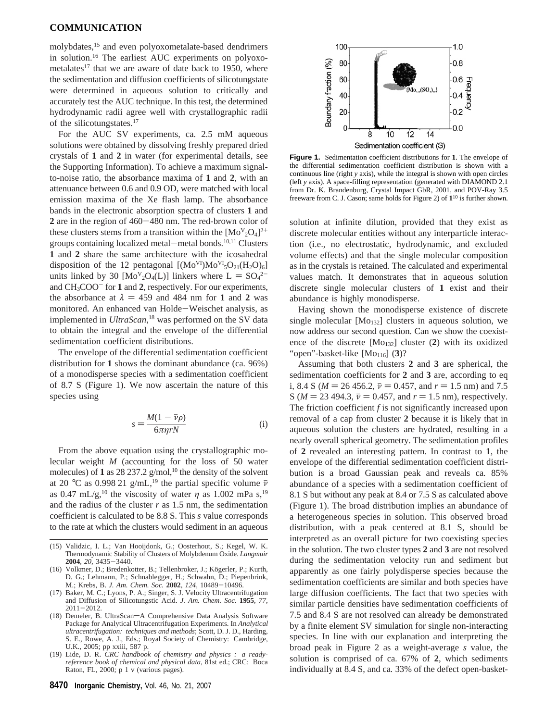## **COMMUNICATION**

molybdates,15 and even polyoxometalate-based dendrimers in solution.16 The earliest AUC experiments on polyoxometalates<sup>17</sup> that we are aware of date back to 1950, where the sedimentation and diffusion coefficients of silicotungstate were determined in aqueous solution to critically and accurately test the AUC technique. In this test, the determined hydrodynamic radii agree well with crystallographic radii of the silicotungstates.<sup>17</sup>

For the AUC SV experiments, ca. 2.5 mM aqueous solutions were obtained by dissolving freshly prepared dried crystals of **1** and **2** in water (for experimental details, see the Supporting Information). To achieve a maximum signalto-noise ratio, the absorbance maxima of **1** and **2**, with an attenuance between 0.6 and 0.9 OD, were matched with local emission maxima of the Xe flash lamp. The absorbance bands in the electronic absorption spectra of clusters **1** and **<sup>2</sup>** are in the region of 460-480 nm. The red-brown color of these clusters stems from a transition within the  $[Mo<sup>V</sup><sub>2</sub>O<sub>4</sub>]<sup>2+</sup>$ groups containing localized metal-metal bonds.<sup>10,11</sup> Clusters **1** and **2** share the same architecture with the icosahedral disposition of the 12 pentagonal  $[(Mo<sup>VI</sup>)Mo<sup>VI</sup><sub>5</sub>O<sub>21</sub>(H<sub>2</sub>O)<sub>6</sub>]$ units linked by 30  $[MoV<sub>2</sub>O<sub>4</sub>(L)]$  linkers where  $L = SO<sub>4</sub><sup>2-</sup>$ <br>and CH-COO<sup>-</sup> for 1 and 2, respectively. For our experiments and CH3COO- for **1** and **2**, respectively. For our experiments, the absorbance at  $\lambda = 459$  and 484 nm for **1** and **2** was monitored. An enhanced van Holde-Weischet analysis, as implemented in *UltraScan*, <sup>18</sup> was performed on the SV data to obtain the integral and the envelope of the differential sedimentation coefficient distributions.

The envelope of the differential sedimentation coefficient distribution for **1** shows the dominant abundance (ca*.* 96%) of a monodisperse species with a sedimentation coefficient of 8.7 S (Figure 1). We now ascertain the nature of this species using

$$
s = \frac{M(1 - \bar{\nu}\rho)}{6\pi\eta rN}
$$
 (i)

From the above equation using the crystallographic molecular weight *M* (accounting for the loss of 50 water molecules) of 1 as  $28\,237.2$  g/mol,<sup>10</sup> the density of the solvent at 20 °C as 0.998 21 g/mL,<sup>19</sup> the partial specific volume  $\bar{\nu}$ as 0.47 mL/g,<sup>10</sup> the viscosity of water  $\eta$  as 1.002 mPa s,<sup>19</sup> and the radius of the cluster  $r$  as  $1.5$  nm, the sedimentation coefficient is calculated to be 8.8 S. This *s* value corresponds to the rate at which the clusters would sediment in an aqueous



**Figure 1.** Sedimentation coefficient distributions for **1**. The envelope of the differential sedimentation coefficient distribution is shown with a continuous line (right *y* axis), while the integral is shown with open circles (left *y* axis). A space-filling representation (generated with DIAMOND 2.1 from Dr. K. Brandenburg, Crystal Impact GbR, 2001, and POV-Ray 3.5 freeware from C. J. Cason; same holds for Figure 2) of **1**<sup>10</sup> is further shown.

solution at infinite dilution, provided that they exist as discrete molecular entities without any interparticle interaction (i.e., no electrostatic, hydrodynamic, and excluded volume effects) and that the single molecular composition as in the crystals is retained. The calculated and experimental values match. It demonstrates that in aqueous solution discrete single molecular clusters of **1** exist and their abundance is highly monodisperse.

Having shown the monodisperse existence of discrete single molecular  $[Mo<sub>132</sub>]$  clusters in aqueous solution, we now address our second question. Can we show the coexistence of the discrete [Mo132] cluster (**2**) with its oxidized "open"-basket-like [Mo<sub>116</sub>] (3)?

Assuming that both clusters **2** and **3** are spherical, the sedimentation coefficients for **2** and **3** are, according to eq i, 8.4 S ( $M = 26\,456.2$ ,  $\bar{v} = 0.457$ , and  $r = 1.5$  nm) and 7.5 S ( $M = 23\,494.3$ ,  $\bar{v} = 0.457$ , and  $r = 1.5$  nm), respectively. The friction coefficient *f* is not significantly increased upon removal of a cap from cluster **2** because it is likely that in aqueous solution the clusters are hydrated, resulting in a nearly overall spherical geometry. The sedimentation profiles of **2** revealed an interesting pattern. In contrast to **1**, the envelope of the differential sedimentation coefficient distribution is a broad Gaussian peak and reveals ca*.* 85% abundance of a species with a sedimentation coefficient of 8.1 S but without any peak at 8.4 or 7.5 S as calculated above (Figure 1). The broad distribution implies an abundance of a heterogeneous species in solution. This observed broad distribution, with a peak centered at 8.1 S, should be interpreted as an overall picture for two coexisting species in the solution. The two cluster types **2** and **3** are not resolved during the sedimentation velocity run and sediment but apparently as one fairly polydisperse species because the sedimentation coefficients are similar and both species have large diffusion coefficients. The fact that two species with similar particle densities have sedimentation coefficients of 7.5 and 8.4 S are not resolved can already be demonstrated by a finite element SV simulation for single non-interacting species. In line with our explanation and interpreting the broad peak in Figure 2 as a weight-average *s* value, the solution is comprised of ca*.* 67% of **2**, which sediments individually at 8.4 S, and ca*.* 33% of the defect open-basket-

<sup>(15)</sup> Validzic, I. L.; Van Hooijdonk, G.; Oosterhout, S.; Kegel, W. K. Thermodynamic Stability of Clusters of Molybdenum Oxide. *Langmuir* **<sup>2004</sup>**, *<sup>20</sup>*, 3435-3440.

<sup>(16)</sup> Volkmer, D.; Bredenkotter, B.; Tellenbroker, J.; Kögerler, P.; Kurth, D. G.; Lehmann, P.; Schnablegger, H.; Schwahn, D.; Piepenbrink, M.; Krebs, B. *J. Am. Chem. Soc.* **<sup>2002</sup>**, *<sup>124</sup>*, 10489-10496.

<sup>(17)</sup> Baker, M. C.; Lyons, P. A.; Singer, S. J. Velocity Ultracentrifugation and Diffusion of Silicotungstic Acid. *J. Am. Chem. Soc.* **1955**, *77*, 2011-2012.<br>(18) Demeler, B. UltraScan-A Comprehensive Data Analysis Software

Package for Analytical Ultracentrifugation Experiments. In *Analytical ultracentrifugation: techniques and methods*; Scott, D. J. D., Harding, S. E., Rowe, A. J., Eds.; Royal Society of Chemistry: Cambridge, U.K., 2005; pp xxiii, 587 p.

<sup>(19)</sup> Lide, D. R. *CRC handbook of chemistry and physics : a readyreference book of chemical and physical data*, 81st ed.; CRC: Boca Raton, FL, 2000; p 1 v (various pages).